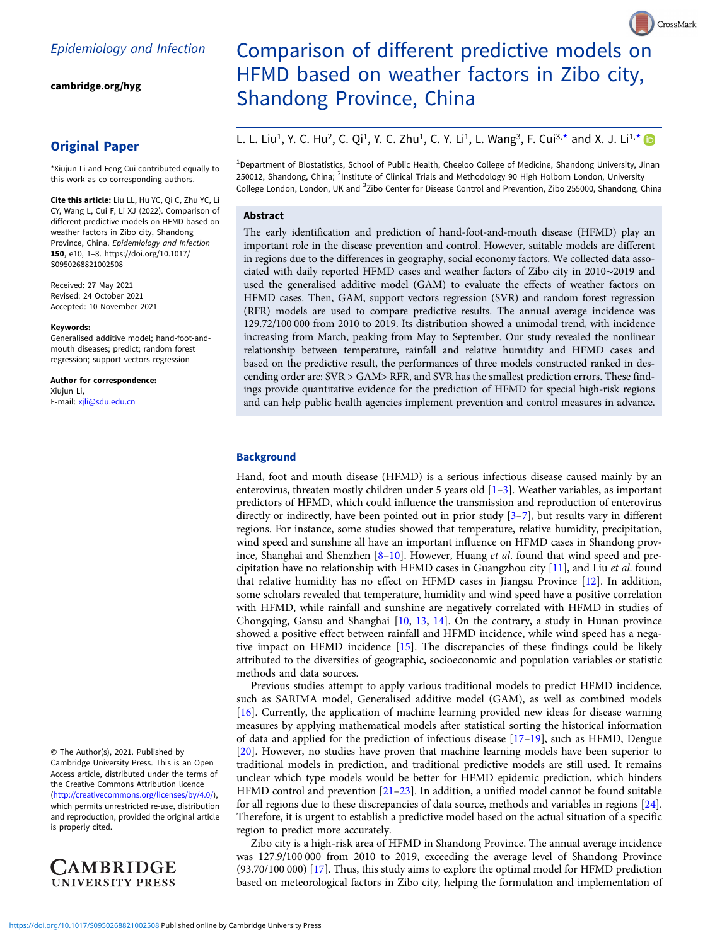[cambridge.org/hyg](https://www.cambridge.org/hyg)

## Original Paper

\*Xiujun Li and Feng Cui contributed equally to this work as co-corresponding authors.

Cite this article: Liu LL, Hu YC, Qi C, Zhu YC, Li CY, Wang L, Cui F, Li XJ (2022). Comparison of different predictive models on HFMD based on weather factors in Zibo city, Shandong Province, China. Epidemiology and Infection 150, e10, 1–8. [https://doi.org/10.1017/](https://doi.org/10.1017/S0950268821002508) [S0950268821002508](https://doi.org/10.1017/S0950268821002508)

Received: 27 May 2021 Revised: 24 October 2021 Accepted: 10 November 2021

#### Keywords:

Generalised additive model; hand-foot-andmouth diseases; predict; random forest regression; support vectors regression

Author for correspondence: Xiujun Li, E-mail: [xjli@sdu.edu.cn](mailto:xjli@sdu.edu.cn)

© The Author(s), 2021. Published by Cambridge University Press. This is an Open Access article, distributed under the terms of the Creative Commons Attribution licence ([http://creativecommons.org/licenses/by/4.0/\)](http://creativecommons.org/licenses/by/4.0/), which permits unrestricted re-use, distribution and reproduction, provided the original article is properly cited.



# Comparison of different predictive models on HFMD based on weather factors in Zibo city, Shandong Province, China

CrossMark

L. L. Liu<sup>1</sup>, Y. C. Hu<sup>2</sup>, C. Qi<sup>1</sup>, Y. C. Zhu<sup>1</sup>, C. Y. Li<sup>1</sup>, L. Wang<sup>3</sup>, F. Cui<sup>3,\*</sup> and X. J. Li<sup>1,\*</sup>

<sup>1</sup>Department of Biostatistics, School of Public Health, Cheeloo College of Medicine, Shandong University, Jinan 250012, Shandong, China; <sup>2</sup>Institute of Clinical Trials and Methodology 90 High Holborn London, University College London, London, UK and <sup>3</sup>Zibo Center for Disease Control and Prevention, Zibo 255000, Shandong, China

## Abstract

The early identification and prediction of hand-foot-and-mouth disease (HFMD) play an important role in the disease prevention and control. However, suitable models are different in regions due to the differences in geography, social economy factors. We collected data associated with daily reported HFMD cases and weather factors of Zibo city in 2010∼2019 and used the generalised additive model (GAM) to evaluate the effects of weather factors on HFMD cases. Then, GAM, support vectors regression (SVR) and random forest regression (RFR) models are used to compare predictive results. The annual average incidence was 129.72/100 000 from 2010 to 2019. Its distribution showed a unimodal trend, with incidence increasing from March, peaking from May to September. Our study revealed the nonlinear relationship between temperature, rainfall and relative humidity and HFMD cases and based on the predictive result, the performances of three models constructed ranked in descending order are: SVR > GAM> RFR, and SVR has the smallest prediction errors. These findings provide quantitative evidence for the prediction of HFMD for special high-risk regions and can help public health agencies implement prevention and control measures in advance.

## **Background**

Hand, foot and mouth disease (HFMD) is a serious infectious disease caused mainly by an enterovirus, threaten mostly children under 5 years old [[1](#page-6-0)–[3\]](#page-6-0). Weather variables, as important predictors of HFMD, which could influence the transmission and reproduction of enterovirus directly or indirectly, have been pointed out in prior study [[3](#page-6-0)–[7\]](#page-6-0), but results vary in different regions. For instance, some studies showed that temperature, relative humidity, precipitation, wind speed and sunshine all have an important influence on HFMD cases in Shandong province, Shanghai and Shenzhen [\[8](#page-6-0)–[10\]](#page-6-0). However, Huang et al. found that wind speed and precipitation have no relationship with HFMD cases in Guangzhou city [[11\]](#page-6-0), and Liu et al. found that relative humidity has no effect on HFMD cases in Jiangsu Province [\[12](#page-6-0)]. In addition, some scholars revealed that temperature, humidity and wind speed have a positive correlation with HFMD, while rainfall and sunshine are negatively correlated with HFMD in studies of Chongqing, Gansu and Shanghai  $[10, 13, 14]$  $[10, 13, 14]$  $[10, 13, 14]$  $[10, 13, 14]$  $[10, 13, 14]$ . On the contrary, a study in Hunan province showed a positive effect between rainfall and HFMD incidence, while wind speed has a negative impact on HFMD incidence [\[15\]](#page-6-0). The discrepancies of these findings could be likely attributed to the diversities of geographic, socioeconomic and population variables or statistic methods and data sources.

Previous studies attempt to apply various traditional models to predict HFMD incidence, such as SARIMA model, Generalised additive model (GAM), as well as combined models [[16\]](#page-6-0). Currently, the application of machine learning provided new ideas for disease warning measures by applying mathematical models after statistical sorting the historical information of data and applied for the prediction of infectious disease [[17](#page-6-0)–[19\]](#page-6-0), such as HFMD, Dengue [[20\]](#page-6-0). However, no studies have proven that machine learning models have been superior to traditional models in prediction, and traditional predictive models are still used. It remains unclear which type models would be better for HFMD epidemic prediction, which hinders HFMD control and prevention [\[21](#page-6-0)–[23](#page-6-0)]. In addition, a unified model cannot be found suitable for all regions due to these discrepancies of data source, methods and variables in regions [\[24](#page-6-0)]. Therefore, it is urgent to establish a predictive model based on the actual situation of a specific region to predict more accurately.

Zibo city is a high-risk area of HFMD in Shandong Province. The annual average incidence was 127.9/100 000 from 2010 to 2019, exceeding the average level of Shandong Province (93.70/100 000) [\[17](#page-6-0)]. Thus, this study aims to explore the optimal model for HFMD prediction based on meteorological factors in Zibo city, helping the formulation and implementation of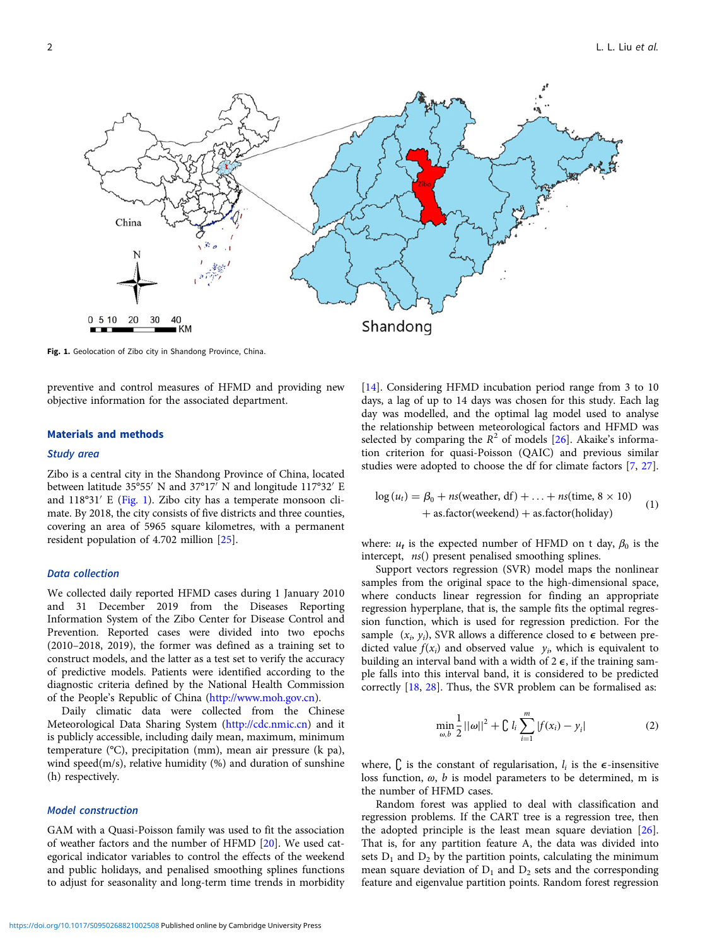

Fig. 1. Geolocation of Zibo city in Shandong Province, China.

preventive and control measures of HFMD and providing new objective information for the associated department.

## Materials and methods

## Study area

Zibo is a central city in the Shandong Province of China, located between latitude 35°55′ N and 37°17′ N and longitude 117°32′ E and 118°31′ E (Fig. 1). Zibo city has a temperate monsoon climate. By 2018, the city consists of five districts and three counties, covering an area of 5965 square kilometres, with a permanent resident population of 4.702 million [\[25](#page-6-0)].

### Data collection

We collected daily reported HFMD cases during 1 January 2010 and 31 December 2019 from the Diseases Reporting Information System of the Zibo Center for Disease Control and Prevention. Reported cases were divided into two epochs (2010–2018, 2019), the former was defined as a training set to construct models, and the latter as a test set to verify the accuracy of predictive models. Patients were identified according to the diagnostic criteria defined by the National Health Commission of the People's Republic of China (<http://www.moh.gov.cn>).

Daily climatic data were collected from the Chinese Meteorological Data Sharing System [\(http://cdc.nmic.cn](http://cdc.nmic.cn)) and it is publicly accessible, including daily mean, maximum, minimum temperature (°C), precipitation (mm), mean air pressure (k pa), wind speed(m/s), relative humidity (%) and duration of sunshine (h) respectively.

## Model construction

GAM with a Quasi-Poisson family was used to fit the association of weather factors and the number of HFMD [\[20](#page-6-0)]. We used categorical indicator variables to control the effects of the weekend and public holidays, and penalised smoothing splines functions to adjust for seasonality and long-term time trends in morbidity [[14\]](#page-6-0). Considering HFMD incubation period range from 3 to 10 days, a lag of up to 14 days was chosen for this study. Each lag day was modelled, and the optimal lag model used to analyse the relationship between meteorological factors and HFMD was selected by comparing the  $R^2$  of models [[26\]](#page-6-0). Akaike's information criterion for quasi-Poisson (QAIC) and previous similar studies were adopted to choose the df for climate factors [[7](#page-6-0), [27](#page-6-0)].

$$
\log(u_t) = \beta_0 + ns(\text{weather, df}) + \dots + ns(\text{time, 8} \times 10)
$$
  
+ as.factor(weekend) + as.factor(holiday) (1)

where:  $u_t$  is the expected number of HFMD on t day,  $\beta_0$  is the intercept, ns() present penalised smoothing splines.

Support vectors regression (SVR) model maps the nonlinear samples from the original space to the high-dimensional space, where conducts linear regression for finding an appropriate regression hyperplane, that is, the sample fits the optimal regression function, which is used for regression prediction. For the sample  $(x_i, y_i)$ , SVR allows a difference closed to  $\epsilon$  between predicted value  $f(x_i)$  and observed value  $y_i$ , which is equivalent to building an interval band with a width of  $2 \epsilon$ , if the training sample falls into this interval band, it is considered to be predicted correctly [[18,](#page-6-0) [28](#page-6-0)]. Thus, the SVR problem can be formalised as:

$$
\min_{\omega, b} \frac{1}{2} ||\omega||^2 + \mathcal{C} l_i \sum_{i=1}^m |f(x_i) - y_i| \tag{2}
$$

where,  $\int$ , is the constant of regularisation,  $l_i$  is the  $\epsilon$ -insensitive loss function,  $\omega$ ,  $b$  is model parameters to be determined, m is the number of HFMD cases.

Random forest was applied to deal with classification and regression problems. If the CART tree is a regression tree, then the adopted principle is the least mean square deviation [\[26](#page-6-0)]. That is, for any partition feature A, the data was divided into sets  $D_1$  and  $D_2$  by the partition points, calculating the minimum mean square deviation of  $D_1$  and  $D_2$  sets and the corresponding feature and eigenvalue partition points. Random forest regression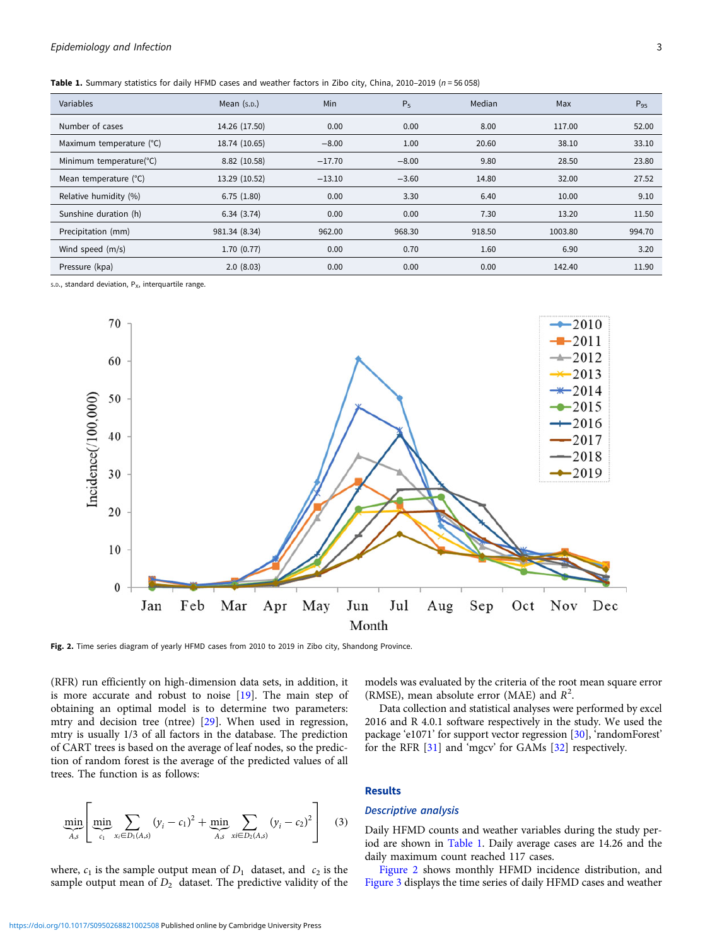<span id="page-2-0"></span>Table 1. Summary statistics for daily HFMD cases and weather factors in Zibo city, China, 2010–2019 ( $n = 56058$ )

| Variables                | Mean $(s.p.)$ | <b>Min</b> | $P_5$   | Median | Max     | $P_{95}$ |
|--------------------------|---------------|------------|---------|--------|---------|----------|
| Number of cases          | 14.26 (17.50) | 0.00       | 0.00    | 8.00   | 117.00  | 52.00    |
| Maximum temperature (°C) | 18.74 (10.65) | $-8.00$    | 1.00    | 20.60  | 38.10   | 33.10    |
| Minimum temperature(°C)  | 8.82 (10.58)  | $-17.70$   | $-8.00$ | 9.80   | 28.50   | 23.80    |
| Mean temperature (°C)    | 13.29 (10.52) | $-13.10$   | $-3.60$ | 14.80  | 32.00   | 27.52    |
| Relative humidity (%)    | 6.75(1.80)    | 0.00       | 3.30    | 6.40   | 10.00   | 9.10     |
| Sunshine duration (h)    | 6.34(3.74)    | 0.00       | 0.00    | 7.30   | 13.20   | 11.50    |
| Precipitation (mm)       | 981.34 (8.34) | 962.00     | 968.30  | 918.50 | 1003.80 | 994.70   |
| Wind speed (m/s)         | 1.70(0.77)    | 0.00       | 0.70    | 1.60   | 6.90    | 3.20     |
| Pressure (kpa)           | 2.0(8.03)     | 0.00       | 0.00    | 0.00   | 142.40  | 11.90    |

s.D., standard deviation,  $P_X$ , interquartile range.



Fig. 2. Time series diagram of yearly HFMD cases from 2010 to 2019 in Zibo city, Shandong Province.

(RFR) run efficiently on high-dimension data sets, in addition, it is more accurate and robust to noise [\[19\]](#page-6-0). The main step of obtaining an optimal model is to determine two parameters: mtry and decision tree (ntree) [\[29](#page-6-0)]. When used in regression, mtry is usually 1/3 of all factors in the database. The prediction of CART trees is based on the average of leaf nodes, so the prediction of random forest is the average of the predicted values of all trees. The function is as follows:

$$
\min_{A,s} \left[ \min_{c_1} \sum_{x_i \in D_1(A,s)} (y_i - c_1)^2 + \min_{A,s} \sum_{x_i \in D_2(A,s)} (y_i - c_2)^2 \right] \tag{3}
$$

where,  $c_1$  is the sample output mean of  $D_1$  dataset, and  $c_2$  is the sample output mean of  $D_2$  dataset. The predictive validity of the models was evaluated by the criteria of the root mean square error (RMSE), mean absolute error (MAE) and  $R^2$ .

Data collection and statistical analyses were performed by excel 2016 and R 4.0.1 software respectively in the study. We used the package 'e1071' for support vector regression [[30\]](#page-7-0), 'randomForest' for the RFR [\[31\]](#page-7-0) and 'mgcv' for GAMs [[32](#page-7-0)] respectively.

## Results

## Descriptive analysis

Daily HFMD counts and weather variables during the study period are shown in Table 1. Daily average cases are 14.26 and the daily maximum count reached 117 cases.

Figure 2 shows monthly HFMD incidence distribution, and [Figure 3](#page-3-0) displays the time series of daily HFMD cases and weather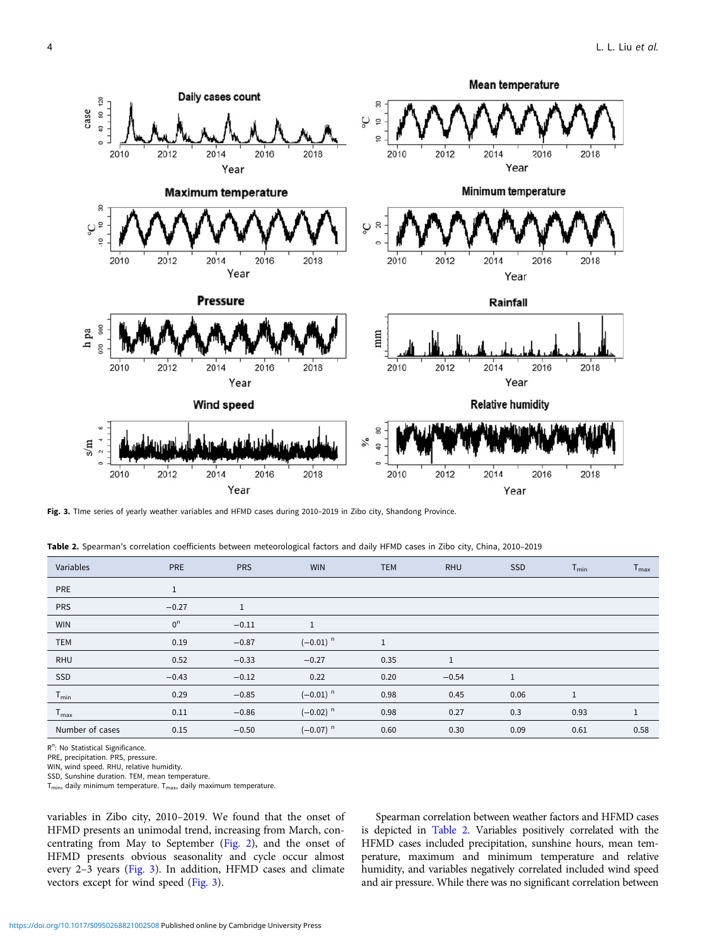<span id="page-3-0"></span>

Fig. 3. Time series of yearly weather variables and HFMD cases during 2010-2019 in Zibo city, Shandong Province.

| Table 2. Spearman's correlation coefficients between meteorological factors and daily HFMD cases in Zibo city, China, 2010-2019 |  |  |
|---------------------------------------------------------------------------------------------------------------------------------|--|--|
|---------------------------------------------------------------------------------------------------------------------------------|--|--|

| Variables        | PRE            | <b>PRS</b>   | <b>WIN</b>             | <b>TEM</b> | <b>RHU</b> | <b>SSD</b> | $T_{min}$    | $T_{\sf max}$ |
|------------------|----------------|--------------|------------------------|------------|------------|------------|--------------|---------------|
| PRE              | 1              |              |                        |            |            |            |              |               |
| <b>PRS</b>       | $-0.27$        | $\mathbf{1}$ |                        |            |            |            |              |               |
| <b>WIN</b>       | 0 <sup>n</sup> | $-0.11$      | $\mathbf{1}$           |            |            |            |              |               |
| <b>TEM</b>       | 0.19           | $-0.87$      | $(-0.01)$ <sup>n</sup> |            |            |            |              |               |
| RHU              | 0.52           | $-0.33$      | $-0.27$                | 0.35       | 1          |            |              |               |
| SSD              | $-0.43$        | $-0.12$      | 0.22                   | 0.20       | $-0.54$    | 1          |              |               |
| $T_{min}$        | 0.29           | $-0.85$      | $(-0.01)^n$            | 0.98       | 0.45       | 0.06       | $\mathbf{1}$ |               |
| $T_{\text{max}}$ | 0.11           | $-0.86$      | $(-0.02)^n$            | 0.98       | 0.27       | 0.3        | 0.93         | 1             |
| Number of cases  | 0.15           | $-0.50$      | $(-0.07)^n$            | 0.60       | 0.30       | 0.09       | 0.61         | 0.58          |

R<sup>n</sup>: No Statistical Significance.

PRE, precipitation. PRS, pressure.

WIN, wind speed. RHU, relative humidity.

SSD, Sunshine duration. TEM, mean temperature.

 $T_{min}$ , daily minimum temperature.  $T_{max}$ , daily maximum temperature.

variables in Zibo city, 2010–2019. We found that the onset of HFMD presents an unimodal trend, increasing from March, concentrating from May to September ([Fig. 2\)](#page-2-0), and the onset of HFMD presents obvious seasonality and cycle occur almost every 2–3 years (Fig. 3). In addition, HFMD cases and climate vectors except for wind speed (Fig. 3).

Spearman correlation between weather factors and HFMD cases is depicted in Table 2. Variables positively correlated with the HFMD cases included precipitation, sunshine hours, mean temperature, maximum and minimum temperature and relative humidity, and variables negatively correlated included wind speed and air pressure. While there was no significant correlation between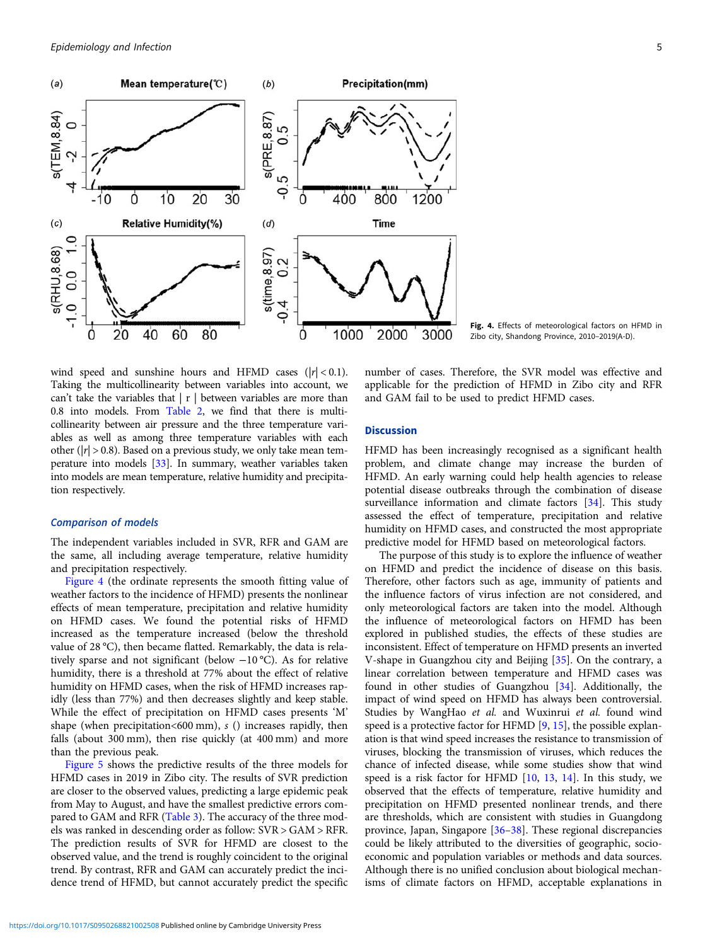

Fig. 4. Effects of meteorological factors on HFMD in Zibo city, Shandong Province, 2010–2019(A-D).

wind speed and sunshine hours and HFMD cases  $(|r| < 0.1)$ . Taking the multicollinearity between variables into account, we can't take the variables that  $|\mathbf{r}|$  between variables are more than 0.8 into models. From [Table 2,](#page-3-0) we find that there is multicollinearity between air pressure and the three temperature variables as well as among three temperature variables with each other ( $|r| > 0.8$ ). Based on a previous study, we only take mean temperature into models [\[33](#page-7-0)]. In summary, weather variables taken into models are mean temperature, relative humidity and precipitation respectively.

## Comparison of models

The independent variables included in SVR, RFR and GAM are the same, all including average temperature, relative humidity and precipitation respectively.

Figure 4 (the ordinate represents the smooth fitting value of weather factors to the incidence of HFMD) presents the nonlinear effects of mean temperature, precipitation and relative humidity on HFMD cases. We found the potential risks of HFMD increased as the temperature increased (below the threshold value of 28 °C), then became flatted. Remarkably, the data is relatively sparse and not significant (below −10 °C). As for relative humidity, there is a threshold at 77% about the effect of relative humidity on HFMD cases, when the risk of HFMD increases rapidly (less than 77%) and then decreases slightly and keep stable. While the effect of precipitation on HFMD cases presents 'M' shape (when precipitation  $<600$  mm), s () increases rapidly, then falls (about 300 mm), then rise quickly (at 400 mm) and more than the previous peak.

[Figure 5](#page-5-0) shows the predictive results of the three models for HFMD cases in 2019 in Zibo city. The results of SVR prediction are closer to the observed values, predicting a large epidemic peak from May to August, and have the smallest predictive errors compared to GAM and RFR ([Table 3\)](#page-5-0). The accuracy of the three models was ranked in descending order as follow: SVR > GAM > RFR. The prediction results of SVR for HFMD are closest to the observed value, and the trend is roughly coincident to the original trend. By contrast, RFR and GAM can accurately predict the incidence trend of HFMD, but cannot accurately predict the specific number of cases. Therefore, the SVR model was effective and applicable for the prediction of HFMD in Zibo city and RFR and GAM fail to be used to predict HFMD cases.

## **Discussion**

HFMD has been increasingly recognised as a significant health problem, and climate change may increase the burden of HFMD. An early warning could help health agencies to release potential disease outbreaks through the combination of disease surveillance information and climate factors [\[34](#page-7-0)]. This study assessed the effect of temperature, precipitation and relative humidity on HFMD cases, and constructed the most appropriate predictive model for HFMD based on meteorological factors.

The purpose of this study is to explore the influence of weather on HFMD and predict the incidence of disease on this basis. Therefore, other factors such as age, immunity of patients and the influence factors of virus infection are not considered, and only meteorological factors are taken into the model. Although the influence of meteorological factors on HFMD has been explored in published studies, the effects of these studies are inconsistent. Effect of temperature on HFMD presents an inverted V-shape in Guangzhou city and Beijing [\[35](#page-7-0)]. On the contrary, a linear correlation between temperature and HFMD cases was found in other studies of Guangzhou [\[34](#page-7-0)]. Additionally, the impact of wind speed on HFMD has always been controversial. Studies by WangHao et al. and Wuxinrui et al. found wind speed is a protective factor for HFMD [[9](#page-6-0), [15\]](#page-6-0), the possible explanation is that wind speed increases the resistance to transmission of viruses, blocking the transmission of viruses, which reduces the chance of infected disease, while some studies show that wind speed is a risk factor for HFMD [[10,](#page-6-0) [13,](#page-6-0) [14\]](#page-6-0). In this study, we observed that the effects of temperature, relative humidity and precipitation on HFMD presented nonlinear trends, and there are thresholds, which are consistent with studies in Guangdong province, Japan, Singapore [[36](#page-7-0)–[38\]](#page-7-0). These regional discrepancies could be likely attributed to the diversities of geographic, socioeconomic and population variables or methods and data sources. Although there is no unified conclusion about biological mechanisms of climate factors on HFMD, acceptable explanations in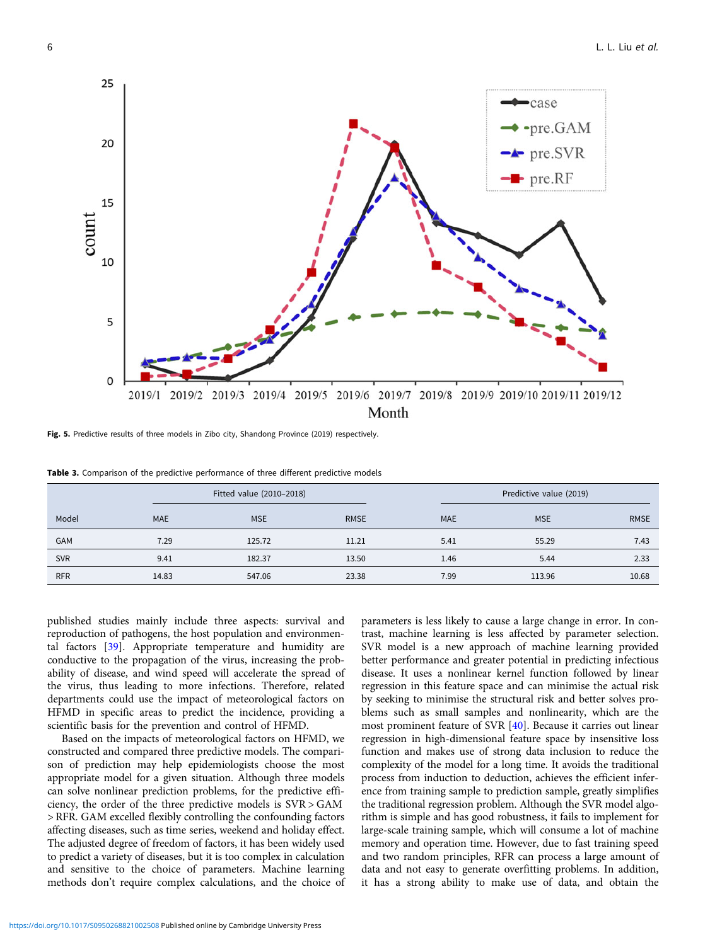<span id="page-5-0"></span>

Fig. 5. Predictive results of three models in Zibo city, Shandong Province (2019) respectively.

Table 3. Comparison of the predictive performance of three different predictive models

|            |            | Fitted value (2010-2018) |             |            | Predictive value (2019) |             |  |
|------------|------------|--------------------------|-------------|------------|-------------------------|-------------|--|
| Model      | <b>MAE</b> | <b>MSE</b>               | <b>RMSE</b> | <b>MAE</b> | <b>MSE</b>              | <b>RMSE</b> |  |
| GAM        | 7.29       | 125.72                   | 11.21       | 5.41       | 55.29                   | 7.43        |  |
| <b>SVR</b> | 9.41       | 182.37                   | 13.50       | 1.46       | 5.44                    | 2.33        |  |
| <b>RFR</b> | 14.83      | 547.06                   | 23.38       | 7.99       | 113.96                  | 10.68       |  |

published studies mainly include three aspects: survival and reproduction of pathogens, the host population and environmental factors [\[39\]](#page-7-0). Appropriate temperature and humidity are conductive to the propagation of the virus, increasing the probability of disease, and wind speed will accelerate the spread of the virus, thus leading to more infections. Therefore, related departments could use the impact of meteorological factors on HFMD in specific areas to predict the incidence, providing a scientific basis for the prevention and control of HFMD.

Based on the impacts of meteorological factors on HFMD, we constructed and compared three predictive models. The comparison of prediction may help epidemiologists choose the most appropriate model for a given situation. Although three models can solve nonlinear prediction problems, for the predictive efficiency, the order of the three predictive models is SVR > GAM > RFR. GAM excelled flexibly controlling the confounding factors affecting diseases, such as time series, weekend and holiday effect. The adjusted degree of freedom of factors, it has been widely used to predict a variety of diseases, but it is too complex in calculation and sensitive to the choice of parameters. Machine learning methods don't require complex calculations, and the choice of

parameters is less likely to cause a large change in error. In contrast, machine learning is less affected by parameter selection. SVR model is a new approach of machine learning provided better performance and greater potential in predicting infectious disease. It uses a nonlinear kernel function followed by linear regression in this feature space and can minimise the actual risk by seeking to minimise the structural risk and better solves problems such as small samples and nonlinearity, which are the most prominent feature of SVR [[40\]](#page-7-0). Because it carries out linear regression in high-dimensional feature space by insensitive loss function and makes use of strong data inclusion to reduce the complexity of the model for a long time. It avoids the traditional process from induction to deduction, achieves the efficient inference from training sample to prediction sample, greatly simplifies the traditional regression problem. Although the SVR model algorithm is simple and has good robustness, it fails to implement for large-scale training sample, which will consume a lot of machine memory and operation time. However, due to fast training speed and two random principles, RFR can process a large amount of data and not easy to generate overfitting problems. In addition, it has a strong ability to make use of data, and obtain the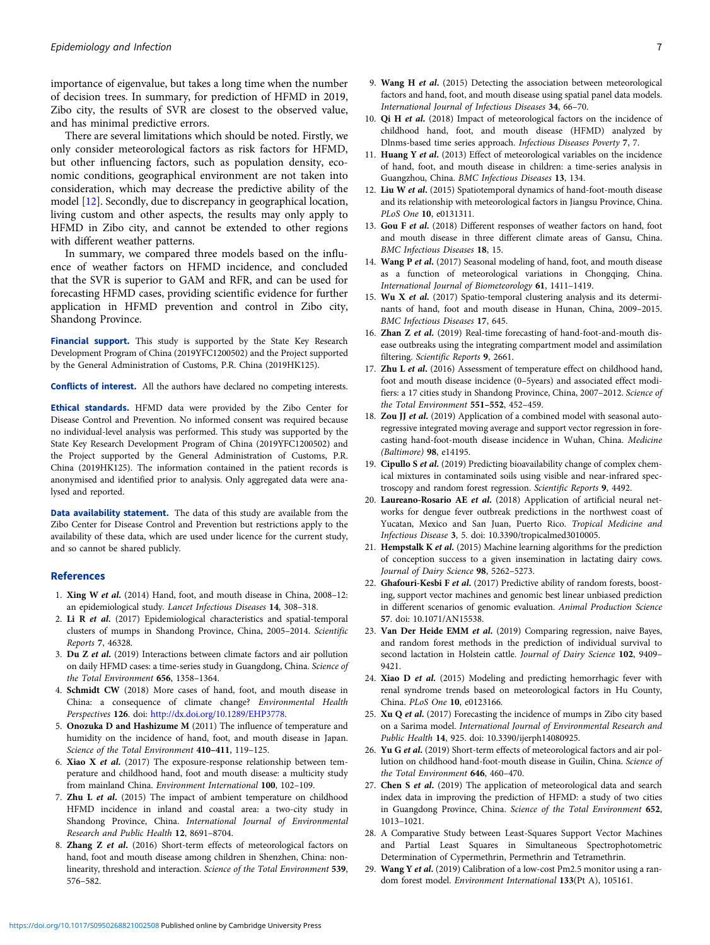<span id="page-6-0"></span>importance of eigenvalue, but takes a long time when the number of decision trees. In summary, for prediction of HFMD in 2019, Zibo city, the results of SVR are closest to the observed value, and has minimal predictive errors.

There are several limitations which should be noted. Firstly, we only consider meteorological factors as risk factors for HFMD, but other influencing factors, such as population density, economic conditions, geographical environment are not taken into consideration, which may decrease the predictive ability of the model [12]. Secondly, due to discrepancy in geographical location, living custom and other aspects, the results may only apply to HFMD in Zibo city, and cannot be extended to other regions with different weather patterns.

In summary, we compared three models based on the influence of weather factors on HFMD incidence, and concluded that the SVR is superior to GAM and RFR, and can be used for forecasting HFMD cases, providing scientific evidence for further application in HFMD prevention and control in Zibo city, Shandong Province.

Financial support. This study is supported by the State Key Research Development Program of China (2019YFC1200502) and the Project supported by the General Administration of Customs, P.R. China (2019HK125).

Conflicts of interest. All the authors have declared no competing interests.

Ethical standards. HFMD data were provided by the Zibo Center for Disease Control and Prevention. No informed consent was required because no individual-level analysis was performed. This study was supported by the State Key Research Development Program of China (2019YFC1200502) and the Project supported by the General Administration of Customs, P.R. China (2019HK125). The information contained in the patient records is anonymised and identified prior to analysis. Only aggregated data were analysed and reported.

Data availability statement. The data of this study are available from the Zibo Center for Disease Control and Prevention but restrictions apply to the availability of these data, which are used under licence for the current study, and so cannot be shared publicly.

#### References

- 1. Xing W et al. (2014) Hand, foot, and mouth disease in China, 2008–12: an epidemiological study. Lancet Infectious Diseases 14, 308–318.
- 2. Li R et al. (2017) Epidemiological characteristics and spatial-temporal clusters of mumps in Shandong Province, China, 2005–2014. Scientific Reports 7, 46328.
- 3. Du Z et al. (2019) Interactions between climate factors and air pollution on daily HFMD cases: a time-series study in Guangdong, China. Science of the Total Environment 656, 1358–1364.
- 4. Schmidt CW (2018) More cases of hand, foot, and mouth disease in China: a consequence of climate change? Environmental Health Perspectives 126. doi: [http://dx.doi.org/10.1289/EHP3778.](http://dx.doi.org/10.1289/EHP3778)
- 5. Onozuka D and Hashizume M (2011) The influence of temperature and humidity on the incidence of hand, foot, and mouth disease in Japan. Science of the Total Environment 410–411, 119–125.
- 6. Xiao X et al. (2017) The exposure-response relationship between temperature and childhood hand, foot and mouth disease: a multicity study from mainland China. Environment International 100, 102–109.
- 7. Zhu L et al. (2015) The impact of ambient temperature on childhood HFMD incidence in inland and coastal area: a two-city study in Shandong Province, China. International Journal of Environmental Research and Public Health 12, 8691–8704.
- 8. Zhang Z et al. (2016) Short-term effects of meteorological factors on hand, foot and mouth disease among children in Shenzhen, China: nonlinearity, threshold and interaction. Science of the Total Environment 539, 576–582.
- 9. Wang H et al. (2015) Detecting the association between meteorological factors and hand, foot, and mouth disease using spatial panel data models. International Journal of Infectious Diseases 34, 66–70.
- 10. Qi H et al. (2018) Impact of meteorological factors on the incidence of childhood hand, foot, and mouth disease (HFMD) analyzed by Dlnms-based time series approach. Infectious Diseases Poverty 7, 7.
- 11. Huang Y et al. (2013) Effect of meteorological variables on the incidence of hand, foot, and mouth disease in children: a time-series analysis in Guangzhou, China. BMC Infectious Diseases 13, 134.
- 12. Liu W et al. (2015) Spatiotemporal dynamics of hand-foot-mouth disease and its relationship with meteorological factors in Jiangsu Province, China. PLoS One 10, e0131311.
- 13. Gou F et al. (2018) Different responses of weather factors on hand, foot and mouth disease in three different climate areas of Gansu, China. BMC Infectious Diseases 18, 15.
- 14. Wang P et al. (2017) Seasonal modeling of hand, foot, and mouth disease as a function of meteorological variations in Chongqing, China. International Journal of Biometeorology 61, 1411–1419.
- 15. Wu X et al. (2017) Spatio-temporal clustering analysis and its determinants of hand, foot and mouth disease in Hunan, China, 2009–2015. BMC Infectious Diseases 17, 645.
- 16. Zhan Z et al. (2019) Real-time forecasting of hand-foot-and-mouth disease outbreaks using the integrating compartment model and assimilation filtering. Scientific Reports 9, 2661.
- 17. Zhu L et al. (2016) Assessment of temperature effect on childhood hand, foot and mouth disease incidence (0–5years) and associated effect modifiers: a 17 cities study in Shandong Province, China, 2007–2012. Science of the Total Environment 551–552, 452–459.
- 18. Zou JJ et al. (2019) Application of a combined model with seasonal autoregressive integrated moving average and support vector regression in forecasting hand-foot-mouth disease incidence in Wuhan, China. Medicine (Baltimore) 98, e14195.
- 19. Cipullo S et al. (2019) Predicting bioavailability change of complex chemical mixtures in contaminated soils using visible and near-infrared spectroscopy and random forest regression. Scientific Reports 9, 4492.
- 20. Laureano-Rosario AE et al. (2018) Application of artificial neural networks for dengue fever outbreak predictions in the northwest coast of Yucatan, Mexico and San Juan, Puerto Rico. Tropical Medicine and Infectious Disease 3, 5. doi: 10.3390/tropicalmed3010005.
- 21. Hempstalk K et al. (2015) Machine learning algorithms for the prediction of conception success to a given insemination in lactating dairy cows. Journal of Dairy Science 98, 5262–5273.
- 22. Ghafouri-Kesbi F et al. (2017) Predictive ability of random forests, boosting, support vector machines and genomic best linear unbiased prediction in different scenarios of genomic evaluation. Animal Production Science 57. doi: 10.1071/AN15538.
- 23. Van Der Heide EMM et al. (2019) Comparing regression, naive Bayes, and random forest methods in the prediction of individual survival to second lactation in Holstein cattle. Journal of Dairy Science 102, 9409-9421.
- 24. Xiao D et al. (2015) Modeling and predicting hemorrhagic fever with renal syndrome trends based on meteorological factors in Hu County, China. PLoS One 10, e0123166.
- 25. Xu Q et al. (2017) Forecasting the incidence of mumps in Zibo city based on a Sarima model. International Journal of Environmental Research and Public Health 14, 925. doi: 10.3390/ijerph14080925.
- 26. Yu G et al. (2019) Short-term effects of meteorological factors and air pollution on childhood hand-foot-mouth disease in Guilin, China. Science of the Total Environment 646, 460–470.
- 27. Chen S et al. (2019) The application of meteorological data and search index data in improving the prediction of HFMD: a study of two cities in Guangdong Province, China. Science of the Total Environment 652, 1013–1021.
- 28. A Comparative Study between Least-Squares Support Vector Machines and Partial Least Squares in Simultaneous Spectrophotometric Determination of Cypermethrin, Permethrin and Tetramethrin.
- 29. Wang Y et al. (2019) Calibration of a low-cost Pm2.5 monitor using a random forest model. Environment International 133(Pt A), 105161.